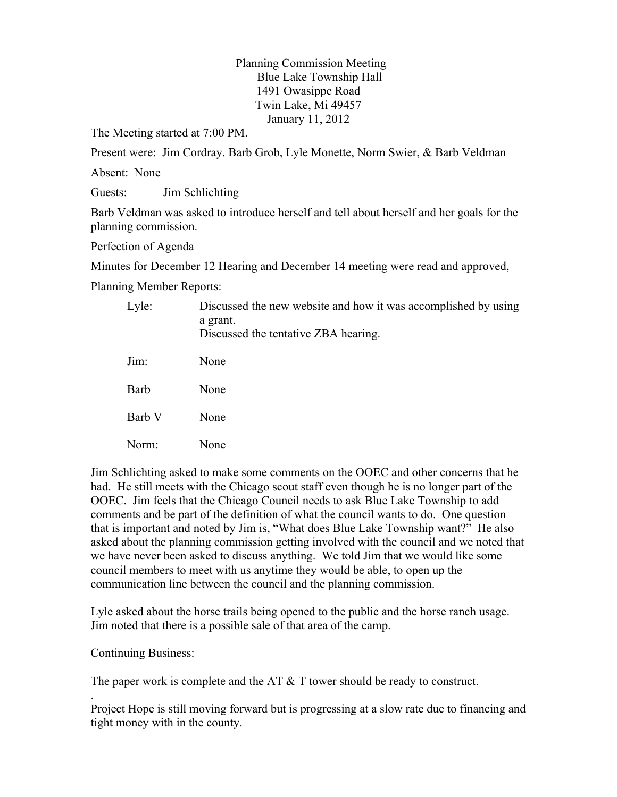Planning Commission Meeting Blue Lake Township Hall 1491 Owasippe Road Twin Lake, Mi 49457 January 11, 2012

The Meeting started at 7:00 PM.

Present were: Jim Cordray. Barb Grob, Lyle Monette, Norm Swier, & Barb Veldman

Absent: None

Guests: Jim Schlichting

Barb Veldman was asked to introduce herself and tell about herself and her goals for the planning commission.

Perfection of Agenda

Minutes for December 12 Hearing and December 14 meeting were read and approved,

Planning Member Reports:

| Lyle:  | Discussed the new website and how it was accomplished by using<br>a grant.<br>Discussed the tentative ZBA hearing. |
|--------|--------------------------------------------------------------------------------------------------------------------|
| Jim:   | None                                                                                                               |
| Barb   | None                                                                                                               |
| Barb V | None                                                                                                               |
| Norm:  | None                                                                                                               |
|        |                                                                                                                    |

Jim Schlichting asked to make some comments on the OOEC and other concerns that he had. He still meets with the Chicago scout staff even though he is no longer part of the OOEC. Jim feels that the Chicago Council needs to ask Blue Lake Township to add comments and be part of the definition of what the council wants to do. One question that is important and noted by Jim is, "What does Blue Lake Township want?" He also asked about the planning commission getting involved with the council and we noted that we have never been asked to discuss anything. We told Jim that we would like some council members to meet with us anytime they would be able, to open up the communication line between the council and the planning commission.

Lyle asked about the horse trails being opened to the public and the horse ranch usage. Jim noted that there is a possible sale of that area of the camp.

Continuing Business:

.

The paper work is complete and the AT  $&$  T tower should be ready to construct.

Project Hope is still moving forward but is progressing at a slow rate due to financing and tight money with in the county.